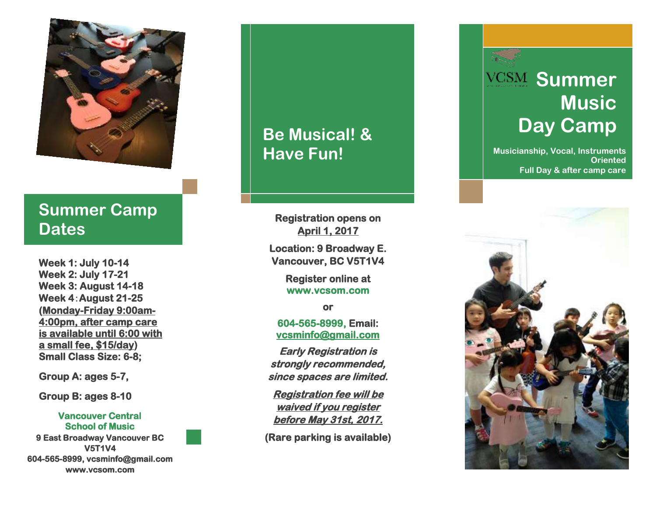

### **Summer Camp Dates**

**Week 1: July 10 -14 Week 2: July 17 -21 Week 3: August 14 -18 Week 4** :**August 21** Week 4:August 21-25<br>(<u>Monday-Friday 9:00am-</u> **4:00pm, after camp care is available until 6:00 with a small fee, \$15/day ) Small Class Size: 6 -8; School of Musical!**<br> **School of Music and School of Music and School of Music and School of Music and School of Music and School of Music and School of Music and School of Music and School of Music and School of Music and** 

**Group A: ages 5 -7,** 

**Group B: ages 8 -10** 

## **Vancouver Central**

**9 East Broadway Vancouver BC V5T1V4 604 -565 -8999, vcsminfo@gmail.com www.vcsom.com** 

# **Have Fun!**

**Registration opens on April 1, 201 7** 

**Location: 9 Broadway E. Vancouver, BC V5T1V4** 

> **Register online at www.vcsom.com**

> > **or**

**604 -565 -8999, Email: [vcsminfo@gmail.com](mailto:vcsminfo@gmail.com)** 

**Early Registration is strongly recommended, since spaces are limited.** 

**Registration fee will be waived if you register before May 31st, 2017.** 

**(Rare parking is available)** 

# **VCSM Summer Music Day Camp**

**Musicianship, Vocal, Instruments Oriented Full Day & after camp care**